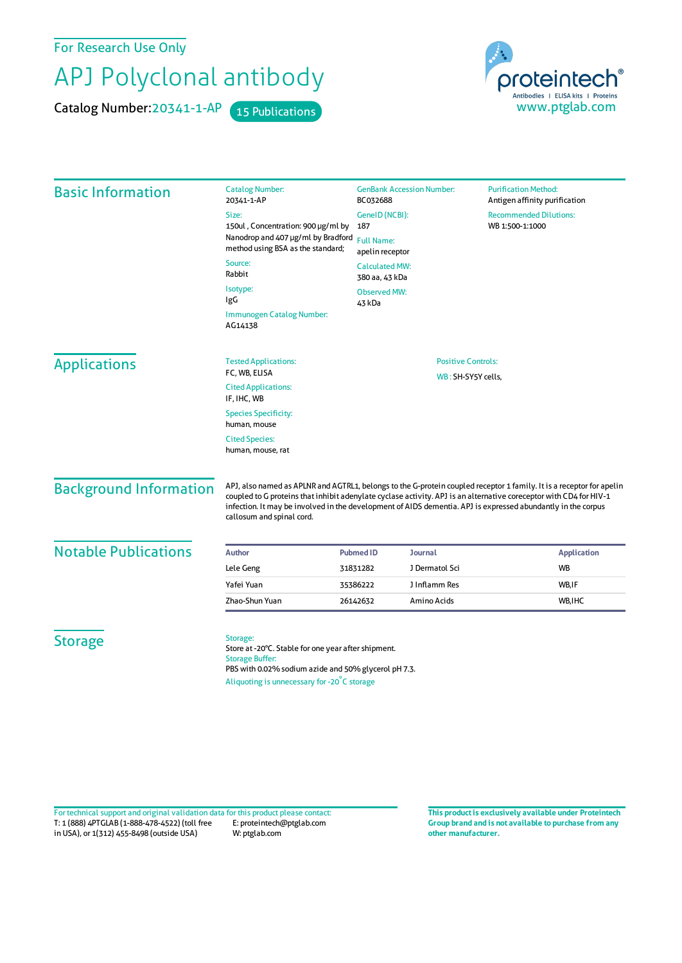For Research Use Only

## APJ Polyclonal antibody

Catalog Number: 20341-1-AP 15 Publications



| <b>Basic Information</b>      | <b>Catalog Number:</b><br>20341-1-AP                                                                                                                                                                                                                                                                                                                                                    | <b>GenBank Accession Number:</b><br>BC032688                  |                | <b>Purification Method:</b><br>Antigen affinity purification |                    |  |
|-------------------------------|-----------------------------------------------------------------------------------------------------------------------------------------------------------------------------------------------------------------------------------------------------------------------------------------------------------------------------------------------------------------------------------------|---------------------------------------------------------------|----------------|--------------------------------------------------------------|--------------------|--|
|                               | Size:<br>150ul, Concentration: 900 µg/ml by<br>Nanodrop and 407 µg/ml by Bradford<br>method using BSA as the standard;                                                                                                                                                                                                                                                                  | GeneID (NCBI):<br>187<br><b>Full Name:</b><br>apelin receptor |                | <b>Recommended Dilutions:</b><br>WB 1:500-1:1000             |                    |  |
|                               | Source:<br>Rabbit                                                                                                                                                                                                                                                                                                                                                                       | <b>Calculated MW:</b><br>380 aa, 43 kDa                       |                |                                                              |                    |  |
|                               | Isotype:<br>IgG                                                                                                                                                                                                                                                                                                                                                                         | <b>Observed MW:</b><br>43 kDa                                 |                |                                                              |                    |  |
|                               | Immunogen Catalog Number:<br>AG14138                                                                                                                                                                                                                                                                                                                                                    |                                                               |                |                                                              |                    |  |
| <b>Applications</b>           | <b>Tested Applications:</b><br>FC, WB, ELISA                                                                                                                                                                                                                                                                                                                                            | <b>Positive Controls:</b><br>WB: SH-SY5Y cells,               |                |                                                              |                    |  |
|                               | <b>Cited Applications:</b><br>IF, IHC, WB                                                                                                                                                                                                                                                                                                                                               |                                                               |                |                                                              |                    |  |
|                               | <b>Species Specificity:</b><br>human, mouse                                                                                                                                                                                                                                                                                                                                             |                                                               |                |                                                              |                    |  |
|                               | <b>Cited Species:</b><br>human, mouse, rat                                                                                                                                                                                                                                                                                                                                              |                                                               |                |                                                              |                    |  |
| <b>Background Information</b> | APJ, also named as APLNR and AGTRL1, belongs to the G-protein coupled receptor 1 family. It is a receptor for apelin<br>coupled to G proteins that inhibit adenylate cyclase activity. APJ is an alternative coreceptor with CD4 for HIV-1<br>infection. It may be involved in the development of AIDS dementia. APJ is expressed abundantly in the corpus<br>callosum and spinal cord. |                                                               |                |                                                              |                    |  |
| <b>Notable Publications</b>   | <b>Author</b>                                                                                                                                                                                                                                                                                                                                                                           | <b>Pubmed ID</b>                                              | <b>Journal</b> |                                                              | <b>Application</b> |  |
|                               | Lele Geng                                                                                                                                                                                                                                                                                                                                                                               | 31831282                                                      | J Dermatol Sci | <b>WB</b>                                                    |                    |  |
|                               | Yafei Yuan                                                                                                                                                                                                                                                                                                                                                                              | 35386222                                                      | J Inflamm Res  | WB,IF                                                        |                    |  |
|                               | Zhao-Shun Yuan                                                                                                                                                                                                                                                                                                                                                                          | 26142632                                                      | Amino Acids    | WB, IHC                                                      |                    |  |
| <b>Storage</b>                | Storage:<br>Store at -20°C. Stable for one year after shipment.<br><b>Storage Buffer:</b><br>PBS with 0.02% sodium azide and 50% glycerol pH 7.3.<br>Aliquoting is unnecessary for -20°C storage                                                                                                                                                                                        |                                                               |                |                                                              |                    |  |

T: 1 (888) 4PTGLAB (1-888-478-4522) (toll free in USA), or 1(312) 455-8498 (outside USA) E: proteintech@ptglab.com W: ptglab.com Fortechnical support and original validation data forthis product please contact: **This productis exclusively available under Proteintech**

**Group brand and is not available to purchase from any other manufacturer.**